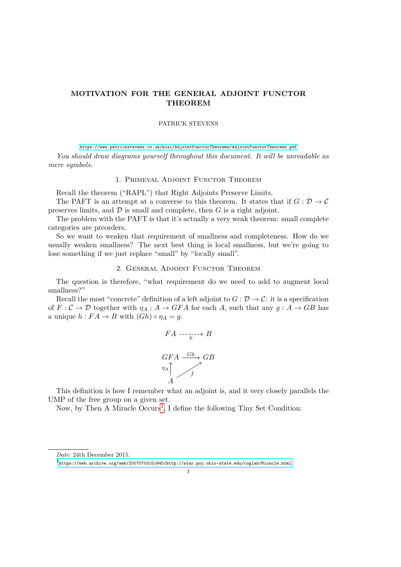## **MOTIVATION FOR THE GENERAL ADJOINT FUNCTOR THEOREM**

## PATRICK STEVENS

<https://www.patrickstevens.co.uk/misc/AdjointFunctorTheorems/AdjointFunctorTheorems.pdf>

*You should draw diagrams yourself throughout this document. It will be unreadable as mere symbols.*

## 1. Primeval Adjoint Functor Theorem

Recall the theorem ("RAPL") that Right Adjoints Preserve Limits.

The PAFT is an attempt at a converse to this theorem. It states that if  $G: \mathcal{D} \to \mathcal{C}$ preserves limits, and  $D$  is small and complete, then  $G$  is a right adjoint.

The problem with the PAFT is that it's actually a very weak theorem: small complete categories are preorders.

So we want to weaken that requirement of smallness and completeness. How do we usually weaken smallness? The next best thing is local smallness, but we're going to lose something if we just replace "small" by "locally small".

### 2. General Adjoint Functor Theorem

The question is therefore, "what requirement do we need to add to augment local smallness?"

Recall the most "concrete" definition of a left adjoint to  $G: \mathcal{D} \to \mathcal{C}$ : it is a specification of  $F: \mathcal{C} \to \mathcal{D}$  together with  $\eta_A: A \to GFA$  for each A, such that any  $g: A \to GB$  has a unique  $h: FA \to B$  with  $( Gh) \circ \eta_A = g$ .

$$
FA \xrightarrow[h]{FA \xrightarrow[h]{\sim} B} B
$$
\n
$$
GFA \xrightarrow{Gh} GB
$$
\n
$$
n_A \uparrow f
$$

This definition is how I remember what an adjoint is, and it very closely parallels the UMP of the free group on a given set.

Now, by Then A Miracle Occurs<sup>[1](#page-0-0)</sup>, I define the following Tiny Set Condition:

*Date*: 24th December 2015.

<span id="page-0-0"></span><sup>1</sup> <https://web.archive.org/web/20070703151645/http://star.psy.ohio-state.edu/coglab/Miracle.html>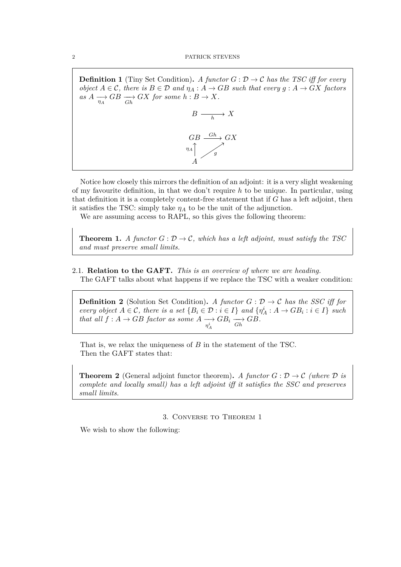**Definition 1** (Tiny Set Condition)**.** *A functor*  $G: \mathcal{D} \to \mathcal{C}$  *has the TSC iff for every object*  $A \in \mathcal{C}$ , there is  $B \in \mathcal{D}$  and  $\eta_A : A \to GB$  such that every  $g : A \to GX$  factors  $as A \longrightarrow_{\eta_A} GB \longrightarrow GX$  *for some*  $h : B \to X$ *.* 



Notice how closely this mirrors the definition of an adjoint: it is a very slight weakening of my favourite definition, in that we don't require *h* to be unique. In particular, using that definition it is a completely content-free statement that if *G* has a left adjoint, then it satisfies the TSC: simply take  $\eta_A$  to be the unit of the adjunction.

We are assuming access to RAPL, so this gives the following theorem:

**Theorem 1.** *A functor*  $G : \mathcal{D} \to \mathcal{C}$ *, which has a left adjoint, must satisfy the TSC and must preserve small limits.*

# 2.1. **Relation to the GAFT.** *This is an overview of where we are heading.*

The GAFT talks about what happens if we replace the TSC with a weaker condition:

**Definition 2** (Solution Set Condition)**.** *A functor*  $G : \mathcal{D} \to \mathcal{C}$  *has the SSC iff for every object*  $A \in \mathcal{C}$ , there is a set  $\{B_i \in \mathcal{D} : i \in I\}$  and  $\{\eta_A^i : A \to GB_i : i \in I\}$  such *that all*  $f : A \to GB$  *factor as some*  $A \xrightarrow[\eta_A^i]$  $GB_i \longrightarrow GB$ *.*<br>*Gh* 

That is, we relax the uniqueness of *B* in the statement of the TSC. Then the GAFT states that:

**Theorem 2** (General adjoint functor theorem). *A functor*  $G: \mathcal{D} \to \mathcal{C}$  (where  $\mathcal{D}$  is *complete and locally small) has a left adjoint iff it satisfies the SSC and preserves small limits.*

## 3. Converse to Theorem 1

We wish to show the following: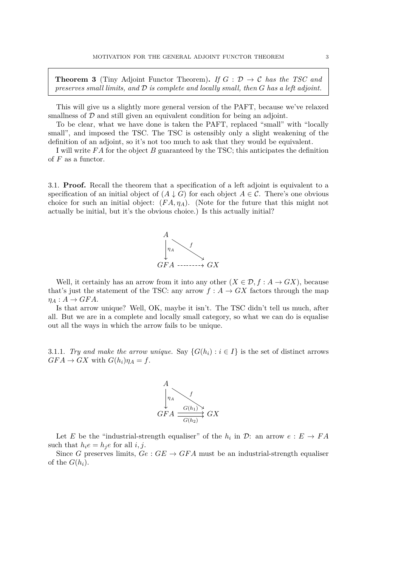**Theorem 3** (Tiny Adjoint Functor Theorem). If  $G : \mathcal{D} \to \mathcal{C}$  has the TSC and *preserves small limits, and* D *is complete and locally small, then G has a left adjoint.*

This will give us a slightly more general version of the PAFT, because we've relaxed smallness of  $D$  and still given an equivalent condition for being an adjoint.

To be clear, what we have done is taken the PAFT, replaced "small" with "locally small", and imposed the TSC. The TSC is ostensibly only a slight weakening of the definition of an adjoint, so it's not too much to ask that they would be equivalent.

I will write *F A* for the object *B* guaranteed by the TSC; this anticipates the definition of *F* as a functor.

3.1. **Proof.** Recall the theorem that a specification of a left adjoint is equivalent to a specification of an initial object of  $(A \downarrow G)$  for each object  $A \in \mathcal{C}$ . There's one obvious choice for such an initial object:  $(FA, \eta_A)$ . (Note for the future that this might not actually be initial, but it's the obvious choice.) Is this actually initial?



Well, it certainly has an arrow from it into any other  $(X \in \mathcal{D}, f : A \to GX)$ , because that's just the statement of the TSC: any arrow  $f : A \rightarrow GX$  factors through the map  $\eta_A : A \to GFA$ .

Is that arrow unique? Well, OK, maybe it isn't. The TSC didn't tell us much, after all. But we are in a complete and locally small category, so what we can do is equalise out all the ways in which the arrow fails to be unique.

3.1.1. *Try and make the arrow unique.* Say  $\{G(h_i) : i \in I\}$  is the set of distinct arrows  $GFA \rightarrow GX$  with  $G(h_i)\eta_A = f$ .



Let *E* be the "industrial-strength equaliser" of the  $h_i$  in  $\mathcal{D}$ : an arrow  $e : E \to FA$ such that  $h_i e = h_i e$  for all *i, j.* 

Since *G* preserves limits,  $Ge: GE \rightarrow GFA$  must be an industrial-strength equaliser of the  $G(h_i)$ .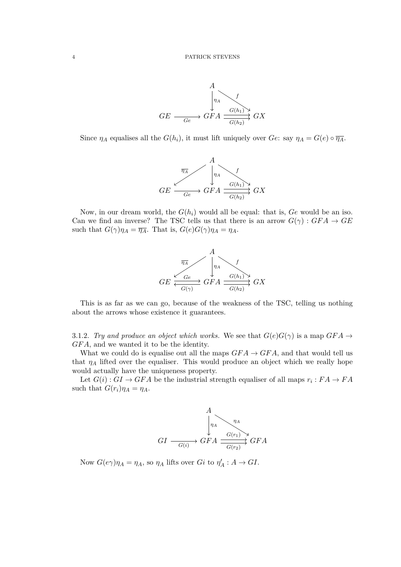

Since  $\eta_A$  equalises all the  $G(h_i)$ , it must lift uniquely over *Ge*: say  $\eta_A = G(e) \circ \overline{\eta_A}$ .



Now, in our dream world, the  $G(h_i)$  would all be equal: that is,  $Ge$  would be an iso. Can we find an inverse? The TSC tells us that there is an arrow  $G(\gamma) : GFA \to GE$ such that  $G(\gamma)\eta_A = \overline{\eta_A}$ . That is,  $G(e)G(\gamma)\eta_A = \eta_A$ .



This is as far as we can go, because of the weakness of the TSC, telling us nothing about the arrows whose existence it guarantees.

3.1.2. *Try and produce an object which works.* We see that  $G(e)G(\gamma)$  is a map  $GFA \rightarrow$ *GF A*, and we wanted it to be the identity.

What we could do is equalise out all the maps  $GFA \to GFA$ , and that would tell us that  $\eta_A$  lifted over the equaliser. This would produce an object which we really hope would actually have the uniqueness property.

Let  $G(i)$ :  $GI \rightarrow GFA$  be the industrial strength equaliser of all maps  $r_i$ :  $FA \rightarrow FA$ such that  $G(r_i)\eta_A = \eta_A$ .



Now  $G(e\gamma)\eta_A = \eta_A$ , so  $\eta_A$  lifts over  $Gi$  to  $\eta'_A : A \to GI$ .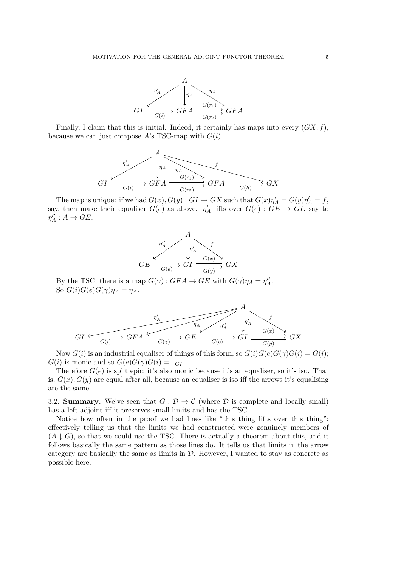

Finally, I claim that this is initial. Indeed, it certainly has maps into every (*GX, f*), because we can just compose  $A$ 's TSC-map with  $G(i)$ .



The map is unique: if we had  $G(x)$ ,  $G(y)$  :  $GI \rightarrow GX$  such that  $G(x)\eta'_A = G(y)\eta'_A = f$ , say, then make their equaliser  $G(e)$  as above.  $\eta'_{A}$  lifts over  $G(e) : G \to G I$ , say to  $\eta''_A : A \to GE.$ 



By the TSC, there is a map  $G(\gamma) : GFA \to GE$  with  $G(\gamma)\eta_A = \eta''_A$ . So  $G(i)G(e)G(\gamma)\eta_A = \eta_A$ .



Now  $G(i)$  is an industrial equaliser of things of this form, so  $G(i)G(e)G(\gamma)G(i) = G(i);$  $G(i)$  is monic and so  $G(e)G(\gamma)G(i) = 1_{GI}$ .

Therefore  $G(e)$  is split epic; it's also monic because it's an equaliser, so it's iso. That is,  $G(x)$ ,  $G(y)$  are equal after all, because an equaliser is iso iff the arrows it's equalising are the same.

3.2. **Summary.** We've seen that  $G : \mathcal{D} \to \mathcal{C}$  (where  $\mathcal{D}$  is complete and locally small) has a left adjoint iff it preserves small limits and has the TSC.

Notice how often in the proof we had lines like "this thing lifts over this thing": effectively telling us that the limits we had constructed were genuinely members of  $(A \downarrow G)$ , so that we could use the TSC. There is actually a theorem about this, and it follows basically the same pattern as those lines do. It tells us that limits in the arrow category are basically the same as limits in  $D$ . However, I wanted to stay as concrete as possible here.